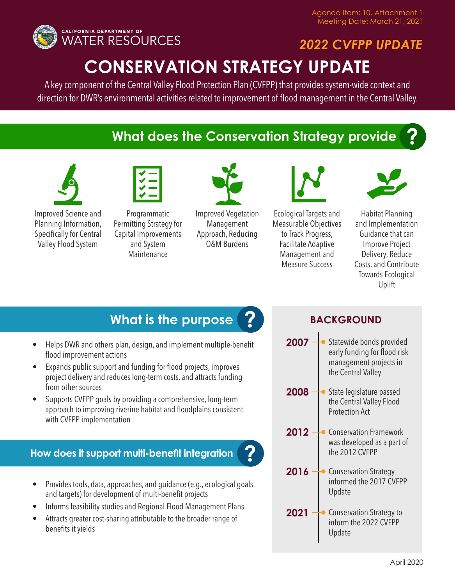

# *2022 CVFPP UPDATE*

## **CONSERVATION STRATEGY UPDATE**

A key component of the Central Valley Flood Protection Plan (CVFPP) that provides system-wide context and direction for DWR's environmental activities related to improvement of flood management in the Central Valley.

## **What does the Conservation Strategy provide**





Improved Science and Planning Information, Specifically for Central Valley Flood System

Programmatic Permitting Strategy for Capital Improvements and System **Maintenance** 



Improved Vegetation Management Approach, Reducing O&M Burdens

**?**



Ecological Targets and Measurable Objectives to Track Progress, Facilitate Adaptive Management and Measure Success



**?**

Habitat Planning and Implementation Guidance that can Improve Project Delivery, Reduce Costs, and Contribute Towards Ecological Uplift

### **What is the purpose P BACKGROUND ?**

- Helps DWR and others plan, design, and implement multiple-benefit flood improvement actions
- Expands public support and funding for flood projects, improves project delivery and reduces long-term costs, and attracts funding from other sources
- Supports CVFPP goals by providing a comprehensive, long-term approach to improving riverine habitat and floodplains consistent with CVFPP implementation

### **How does it support multi-benefit integration**



- Informs feasibility studies and Regional Flood Management Plans
- Attracts greater cost-sharing attributable to the broader range of benefits it yields